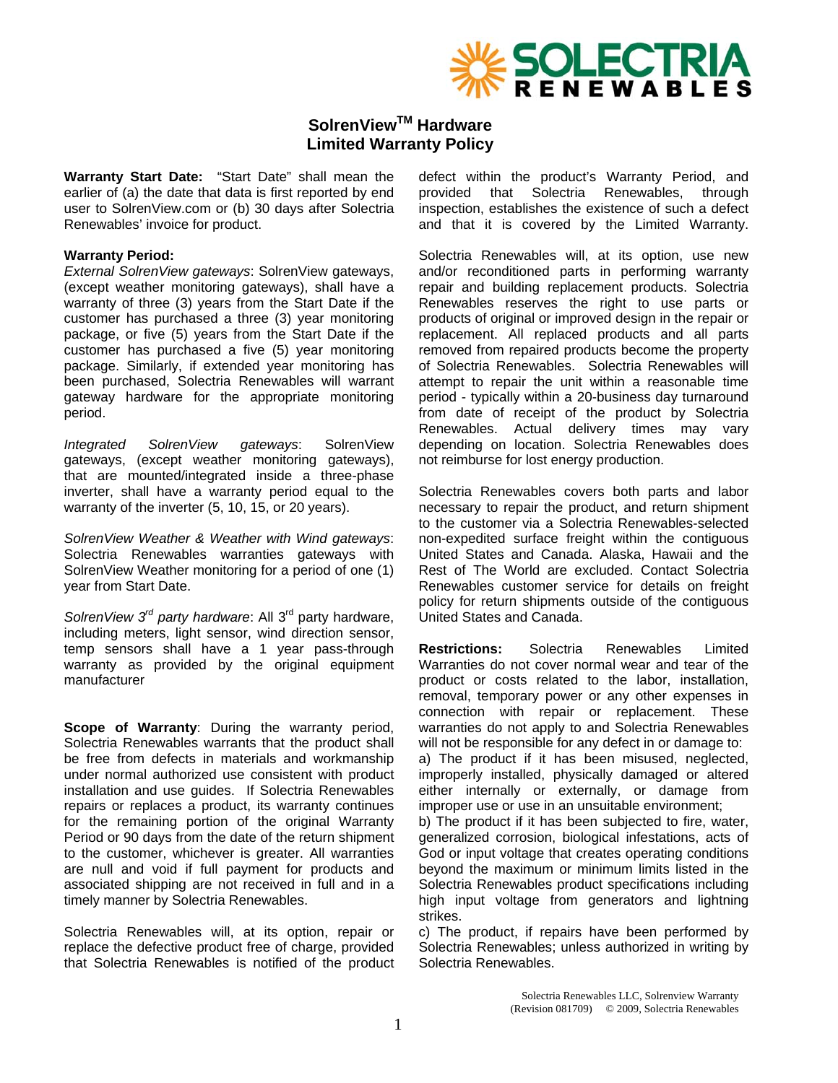

# **SolrenViewTM Hardware Limited Warranty Policy**

**Warranty Start Date:** "Start Date" shall mean the earlier of (a) the date that data is first reported by end user to SolrenView.com or (b) 30 days after Solectria Renewables' invoice for product.

#### **Warranty Period:**

*External SolrenView gateways*: SolrenView gateways, (except weather monitoring gateways), shall have a warranty of three (3) years from the Start Date if the customer has purchased a three (3) year monitoring package, or five (5) years from the Start Date if the customer has purchased a five (5) year monitoring package. Similarly, if extended year monitoring has been purchased, Solectria Renewables will warrant gateway hardware for the appropriate monitoring period.

*Integrated SolrenView gateways*: SolrenView gateways, (except weather monitoring gateways), that are mounted/integrated inside a three-phase inverter, shall have a warranty period equal to the warranty of the inverter (5, 10, 15, or 20 years).

*SolrenView Weather & Weather with Wind gateways*: Solectria Renewables warranties gateways with SolrenView Weather monitoring for a period of one (1) year from Start Date.

*SolrenView 3rd party hardware*: All 3rd party hardware, including meters, light sensor, wind direction sensor, temp sensors shall have a 1 year pass-through warranty as provided by the original equipment manufacturer

**Scope of Warranty**: During the warranty period, Solectria Renewables warrants that the product shall be free from defects in materials and workmanship under normal authorized use consistent with product installation and use guides. If Solectria Renewables repairs or replaces a product, its warranty continues for the remaining portion of the original Warranty Period or 90 days from the date of the return shipment to the customer, whichever is greater. All warranties are null and void if full payment for products and associated shipping are not received in full and in a timely manner by Solectria Renewables.

Solectria Renewables will, at its option, repair or replace the defective product free of charge, provided that Solectria Renewables is notified of the product defect within the product's Warranty Period, and provided that Solectria Renewables, through inspection, establishes the existence of such a defect and that it is covered by the Limited Warranty.

Solectria Renewables will, at its option, use new and/or reconditioned parts in performing warranty repair and building replacement products. Solectria Renewables reserves the right to use parts or products of original or improved design in the repair or replacement. All replaced products and all parts removed from repaired products become the property of Solectria Renewables. Solectria Renewables will attempt to repair the unit within a reasonable time period - typically within a 20-business day turnaround from date of receipt of the product by Solectria Renewables. Actual delivery times may vary depending on location. Solectria Renewables does not reimburse for lost energy production.

Solectria Renewables covers both parts and labor necessary to repair the product, and return shipment to the customer via a Solectria Renewables-selected non-expedited surface freight within the contiguous United States and Canada. Alaska, Hawaii and the Rest of The World are excluded. Contact Solectria Renewables customer service for details on freight policy for return shipments outside of the contiguous United States and Canada.

**Restrictions:** Solectria Renewables Limited Warranties do not cover normal wear and tear of the product or costs related to the labor, installation, removal, temporary power or any other expenses in connection with repair or replacement. These warranties do not apply to and Solectria Renewables will not be responsible for any defect in or damage to: a) The product if it has been misused, neglected,

improperly installed, physically damaged or altered either internally or externally, or damage from improper use or use in an unsuitable environment;

b) The product if it has been subjected to fire, water, generalized corrosion, biological infestations, acts of God or input voltage that creates operating conditions beyond the maximum or minimum limits listed in the Solectria Renewables product specifications including high input voltage from generators and lightning strikes.

c) The product, if repairs have been performed by Solectria Renewables; unless authorized in writing by Solectria Renewables.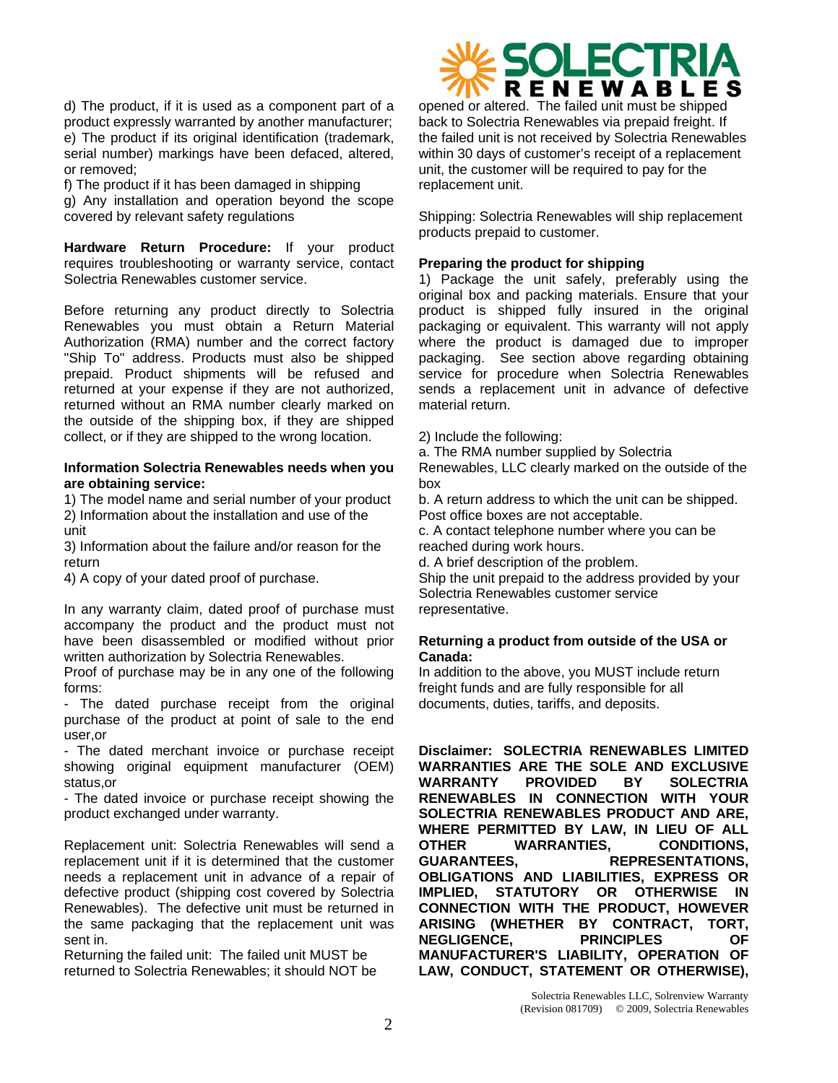d) The product, if it is used as a component part of a product expressly warranted by another manufacturer; e) The product if its original identification (trademark, serial number) markings have been defaced, altered, or removed;

f) The product if it has been damaged in shipping g) Any installation and operation beyond the scope covered by relevant safety regulations

**Hardware Return Procedure:** If your product requires troubleshooting or warranty service, contact Solectria Renewables customer service.

Before returning any product directly to Solectria Renewables you must obtain a Return Material Authorization (RMA) number and the correct factory "Ship To" address. Products must also be shipped prepaid. Product shipments will be refused and returned at your expense if they are not authorized, returned without an RMA number clearly marked on the outside of the shipping box, if they are shipped collect, or if they are shipped to the wrong location.

### **Information Solectria Renewables needs when you are obtaining service:**

1) The model name and serial number of your product 2) Information about the installation and use of the unit

3) Information about the failure and/or reason for the return

4) A copy of your dated proof of purchase.

In any warranty claim, dated proof of purchase must accompany the product and the product must not have been disassembled or modified without prior written authorization by Solectria Renewables.

Proof of purchase may be in any one of the following forms:

- The dated purchase receipt from the original purchase of the product at point of sale to the end user,or

- The dated merchant invoice or purchase receipt showing original equipment manufacturer (OEM) status,or

- The dated invoice or purchase receipt showing the product exchanged under warranty.

Replacement unit: Solectria Renewables will send a replacement unit if it is determined that the customer needs a replacement unit in advance of a repair of defective product (shipping cost covered by Solectria Renewables). The defective unit must be returned in the same packaging that the replacement unit was sent in.

Returning the failed unit: The failed unit MUST be returned to Solectria Renewables; it should NOT be

# DLECTRIA R E N E W A B L E S

opened or altered. The failed unit must be shipped back to Solectria Renewables via prepaid freight. If the failed unit is not received by Solectria Renewables within 30 days of customer's receipt of a replacement unit, the customer will be required to pay for the replacement unit.

Shipping: Solectria Renewables will ship replacement products prepaid to customer.

### **Preparing the product for shipping**

1) Package the unit safely, preferably using the original box and packing materials. Ensure that your product is shipped fully insured in the original packaging or equivalent. This warranty will not apply where the product is damaged due to improper packaging. See section above regarding obtaining service for procedure when Solectria Renewables sends a replacement unit in advance of defective material return.

2) Include the following:

a. The RMA number supplied by Solectria

Renewables, LLC clearly marked on the outside of the box

b. A return address to which the unit can be shipped. Post office boxes are not acceptable.

c. A contact telephone number where you can be reached during work hours.

d. A brief description of the problem.

Ship the unit prepaid to the address provided by your Solectria Renewables customer service representative.

## **Returning a product from outside of the USA or Canada:**

In addition to the above, you MUST include return freight funds and are fully responsible for all documents, duties, tariffs, and deposits.

**Disclaimer: SOLECTRIA RENEWABLES LIMITED WARRANTIES ARE THE SOLE AND EXCLUSIVE WARRANTY PROVIDED BY SOLECTRIA RENEWABLES IN CONNECTION WITH YOUR SOLECTRIA RENEWABLES PRODUCT AND ARE, WHERE PERMITTED BY LAW, IN LIEU OF ALL OTHER WARRANTIES, CONDITIONS, GUARANTEES, REPRESENTATIONS, OBLIGATIONS AND LIABILITIES, EXPRESS OR IMPLIED, STATUTORY OR OTHERWISE IN CONNECTION WITH THE PRODUCT, HOWEVER ARISING (WHETHER BY CONTRACT, TORT, NEGLIGENCE, PRINCIPLES OF MANUFACTURER'S LIABILITY, OPERATION OF LAW, CONDUCT, STATEMENT OR OTHERWISE),**